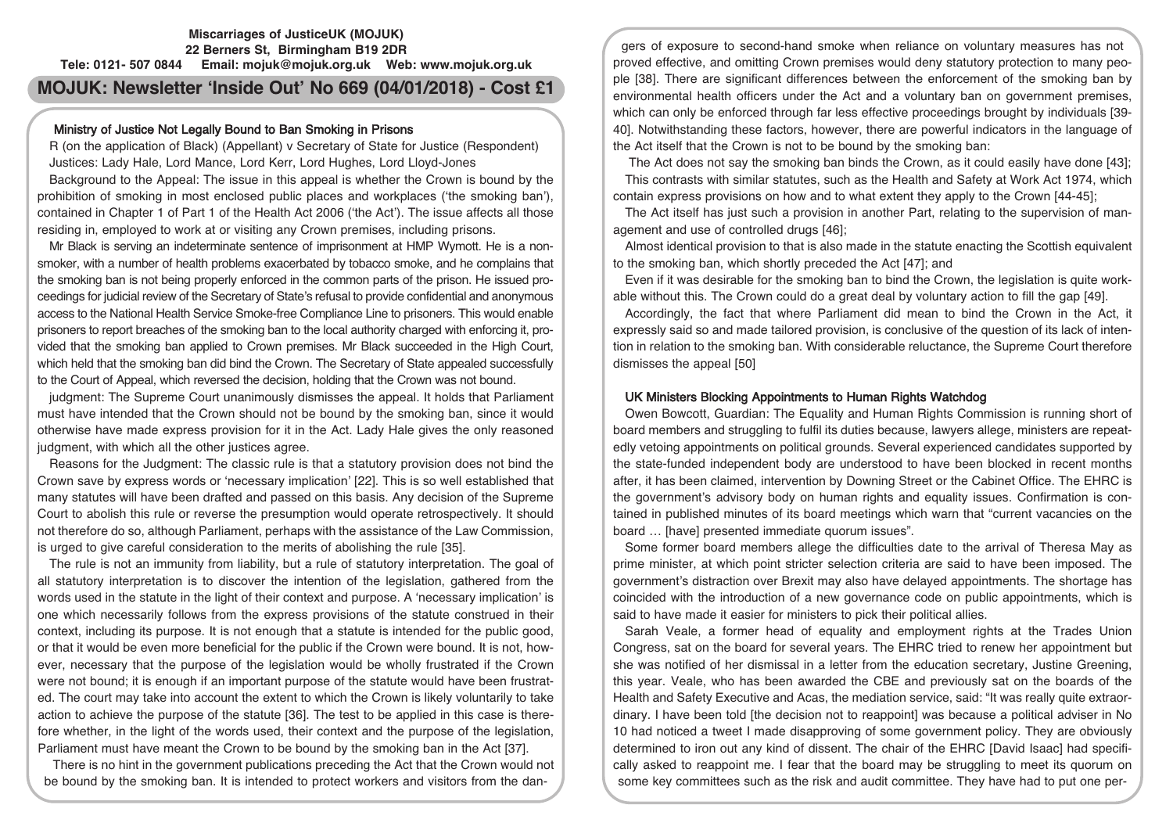# **Miscarriages of JusticeUK (MOJUK) 22 Berners St, Birmingham B19 2DR Tele: 0121- 507 0844 Email: mojuk@mojuk.org.uk Web: www.mojuk.org.uk**

# **MOJUK: Newsletter 'Inside Out' No 669 (04/01/2018) - Cost £1**

# Ministry of Justice Not Legally Bound to Ban Smoking in Prisons

R (on the application of Black) (Appellant) v Secretary of State for Justice (Respondent) Justices: Lady Hale, Lord Mance, Lord Kerr, Lord Hughes, Lord Lloyd-Jones

Background to the Appeal: The issue in this appeal is whether the Crown is bound by the prohibition of smoking in most enclosed public places and workplaces ('the smoking ban'), contained in Chapter 1 of Part 1 of the Health Act 2006 ('the Act'). The issue affects all those residing in, employed to work at or visiting any Crown premises, including prisons.

Mr Black is serving an indeterminate sentence of imprisonment at HMP Wymott. He is a nonsmoker, with a number of health problems exacerbated by tobacco smoke, and he complains that the smoking ban is not being properly enforced in the common parts of the prison. He issued proceedings for judicial review of the Secretary of State's refusal to provide confidential and anonymous access to the National Health Service Smoke-free Compliance Line to prisoners. This would enable prisoners to report breaches of the smoking ban to the local authority charged with enforcing it, provided that the smoking ban applied to Crown premises. Mr Black succeeded in the High Court, which held that the smoking ban did bind the Crown. The Secretary of State appealed successfully to the Court of Appeal, which reversed the decision, holding that the Crown was not bound.

judgment: The Supreme Court unanimously dismisses the appeal. It holds that Parliament must have intended that the Crown should not be bound by the smoking ban, since it would otherwise have made express provision for it in the Act. Lady Hale gives the only reasoned judgment, with which all the other justices agree.

Reasons for the Judgment: The classic rule is that a statutory provision does not bind the Crown save by express words or 'necessary implication' [22]. This is so well established that many statutes will have been drafted and passed on this basis. Any decision of the Supreme Court to abolish this rule or reverse the presumption would operate retrospectively. It should not therefore do so, although Parliament, perhaps with the assistance of the Law Commission, is urged to give careful consideration to the merits of abolishing the rule [35].

The rule is not an immunity from liability, but a rule of statutory interpretation. The goal of all statutory interpretation is to discover the intention of the legislation, gathered from the words used in the statute in the light of their context and purpose. A 'necessary implication' is one which necessarily follows from the express provisions of the statute construed in their context, including its purpose. It is not enough that a statute is intended for the public good, or that it would be even more beneficial for the public if the Crown were bound. It is not, however, necessary that the purpose of the legislation would be wholly frustrated if the Crown were not bound; it is enough if an important purpose of the statute would have been frustrated. The court may take into account the extent to which the Crown is likely voluntarily to take action to achieve the purpose of the statute [36]. The test to be applied in this case is therefore whether, in the light of the words used, their context and the purpose of the legislation, Parliament must have meant the Crown to be bound by the smoking ban in the Act [37].

There is no hint in the government publications preceding the Act that the Crown would not be bound by the smoking ban. It is intended to protect workers and visitors from the dan-

gers of exposure to second-hand smoke when reliance on voluntary measures has not proved effective, and omitting Crown premises would deny statutory protection to many people [38]. There are significant differences between the enforcement of the smoking ban by environmental health officers under the Act and a voluntary ban on government premises, which can only be enforced through far less effective proceedings brought by individuals [39- 40]. Notwithstanding these factors, however, there are powerful indicators in the language of the Act itself that the Crown is not to be bound by the smoking ban:

The Act does not say the smoking ban binds the Crown, as it could easily have done [43]; This contrasts with similar statutes, such as the Health and Safety at Work Act 1974, which contain express provisions on how and to what extent they apply to the Crown [44-45];

The Act itself has just such a provision in another Part, relating to the supervision of management and use of controlled drugs [46];

Almost identical provision to that is also made in the statute enacting the Scottish equivalent to the smoking ban, which shortly preceded the Act [47]; and

Even if it was desirable for the smoking ban to bind the Crown, the legislation is quite workable without this. The Crown could do a great deal by voluntary action to fill the gap [49].

Accordingly, the fact that where Parliament did mean to bind the Crown in the Act, it expressly said so and made tailored provision, is conclusive of the question of its lack of intention in relation to the smoking ban. With considerable reluctance, the Supreme Court therefore dismisses the appeal [50]

# UK Ministers Blocking Appointments to Human Rights Watchdog

Owen Bowcott, Guardian: The Equality and Human Rights Commission is running short of board members and struggling to fulfil its duties because, lawyers allege, ministers are repeatedly vetoing appointments on political grounds. Several experienced candidates supported by the state-funded independent body are understood to have been blocked in recent months after, it has been claimed, intervention by Downing Street or the Cabinet Office. The EHRC is the government's advisory body on human rights and equality issues. Confirmation is contained in published minutes of its board meetings which warn that "current vacancies on the board … [have] presented immediate quorum issues".

Some former board members allege the difficulties date to the arrival of Theresa May as prime minister, at which point stricter selection criteria are said to have been imposed. The government's distraction over Brexit may also have delayed appointments. The shortage has coincided with the introduction of a new governance code on public appointments, which is said to have made it easier for ministers to pick their political allies.

Sarah Veale, a former head of equality and employment rights at the Trades Union Congress, sat on the board for several years. The EHRC tried to renew her appointment but she was notified of her dismissal in a letter from the education secretary, Justine Greening, this year. Veale, who has been awarded the CBE and previously sat on the boards of the Health and Safety Executive and Acas, the mediation service, said: "It was really quite extraordinary. I have been told [the decision not to reappoint] was because a political adviser in No 10 had noticed a tweet I made disapproving of some government policy. They are obviously determined to iron out any kind of dissent. The chair of the EHRC [David Isaac] had specifically asked to reappoint me. I fear that the board may be struggling to meet its quorum on some key committees such as the risk and audit committee. They have had to put one per-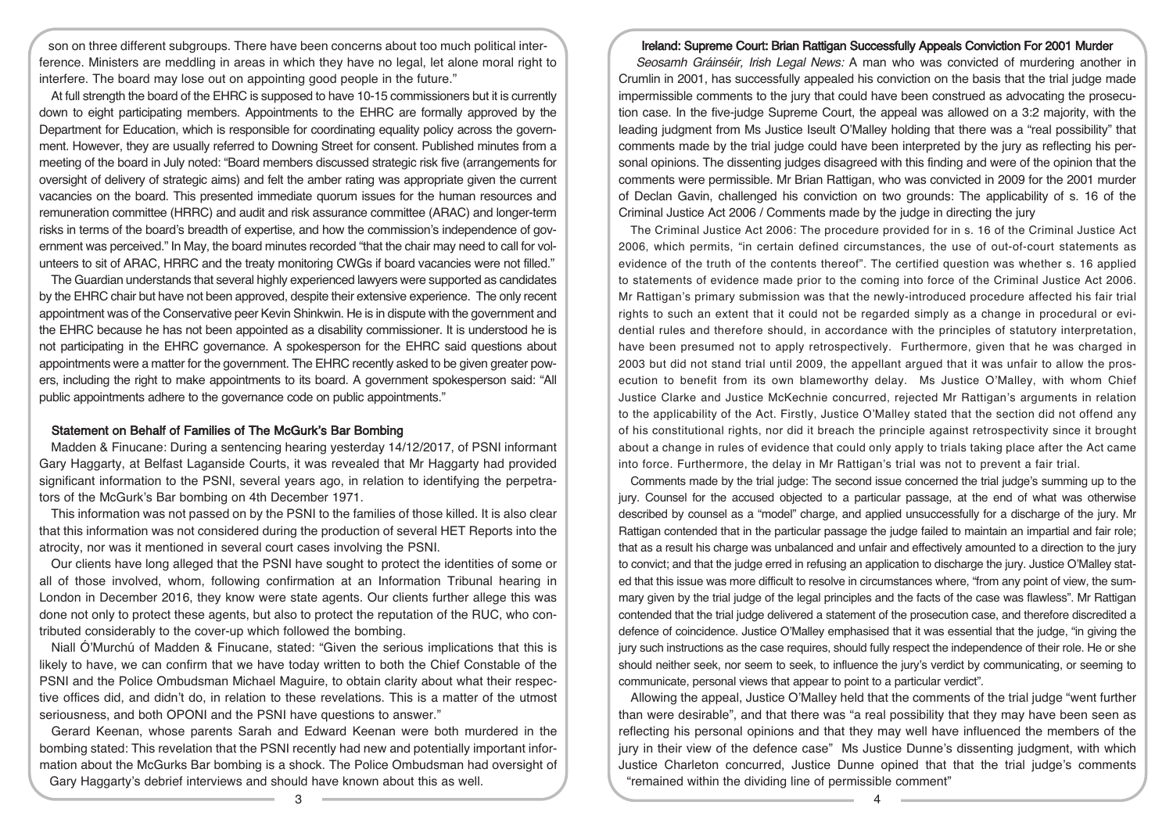son on three different subgroups. There have been concerns about too much political interference. Ministers are meddling in areas in which they have no legal, let alone moral right to interfere. The board may lose out on appointing good people in the future."

At full strength the board of the EHRC is supposed to have 10-15 commissioners but it is currently down to eight participating members. Appointments to the EHRC are formally approved by the Department for Education, which is responsible for coordinating equality policy across the government. However, they are usually referred to Downing Street for consent. Published minutes from a meeting of the board in July noted: "Board members discussed strategic risk five (arrangements for oversight of delivery of strategic aims) and felt the amber rating was appropriate given the current vacancies on the board. This presented immediate quorum issues for the human resources and remuneration committee (HRRC) and audit and risk assurance committee (ARAC) and longer-term risks in terms of the board's breadth of expertise, and how the commission's independence of government was perceived." In May, the board minutes recorded "that the chair may need to call for volunteers to sit of ARAC, HRRC and the treaty monitoring CWGs if board vacancies were not filled."

The Guardian understands that several highly experienced lawyers were supported as candidates by the EHRC chair but have not been approved, despite their extensive experience. The only recent appointment was of the Conservative peer Kevin Shinkwin. He is in dispute with the government and the EHRC because he has not been appointed as a disability commissioner. It is understood he is not participating in the EHRC governance. A spokesperson for the EHRC said questions about appointments were a matter for the government. The EHRC recently asked to be given greater powers, including the right to make appointments to its board. A government spokesperson said: "All public appointments adhere to the governance code on public appointments."

#### Statement on Behalf of Families of The McGurk's Bar Bombing

Madden & Finucane: During a sentencing hearing yesterday 14/12/2017, of PSNI informant Gary Haggarty, at Belfast Laganside Courts, it was revealed that Mr Haggarty had provided significant information to the PSNI, several years ago, in relation to identifying the perpetrators of the McGurk's Bar bombing on 4th December 1971.

This information was not passed on by the PSNI to the families of those killed. It is also clear that this information was not considered during the production of several HET Reports into the atrocity, nor was it mentioned in several court cases involving the PSNI.

Our clients have long alleged that the PSNI have sought to protect the identities of some or all of those involved, whom, following confirmation at an Information Tribunal hearing in London in December 2016, they know were state agents. Our clients further allege this was done not only to protect these agents, but also to protect the reputation of the RUC, who contributed considerably to the cover-up which followed the bombing.

Niall Ó'Murchú of Madden & Finucane, stated: "Given the serious implications that this is likely to have, we can confirm that we have today written to both the Chief Constable of the PSNI and the Police Ombudsman Michael Maguire, to obtain clarity about what their respective offices did, and didn't do, in relation to these revelations. This is a matter of the utmost seriousness, and both OPONI and the PSNI have questions to answer."

Gerard Keenan, whose parents Sarah and Edward Keenan were both murdered in the bombing stated: This revelation that the PSNI recently had new and potentially important information about the McGurks Bar bombing is a shock. The Police Ombudsman had oversight of Gary Haggarty's debrief interviews and should have known about this as well.

#### Ireland: Supreme Court: Brian Rattigan Successfully Appeals Conviction For 2001 Murder

Seosamh Gráinséir, Irish Legal News: A man who was convicted of murdering another in Crumlin in 2001, has successfully appealed his conviction on the basis that the trial judge made impermissible comments to the jury that could have been construed as advocating the prosecution case. In the five-judge Supreme Court, the appeal was allowed on a 3:2 majority, with the leading judgment from Ms Justice Iseult O'Malley holding that there was a "real possibility" that comments made by the trial judge could have been interpreted by the jury as reflecting his personal opinions. The dissenting judges disagreed with this finding and were of the opinion that the comments were permissible. Mr Brian Rattigan, who was convicted in 2009 for the 2001 murder of Declan Gavin, challenged his conviction on two grounds: The applicability of s. 16 of the Criminal Justice Act 2006 / Comments made by the judge in directing the jury

The Criminal Justice Act 2006: The procedure provided for in s. 16 of the Criminal Justice Act 2006, which permits, "in certain defined circumstances, the use of out-of-court statements as evidence of the truth of the contents thereof". The certified question was whether s. 16 applied to statements of evidence made prior to the coming into force of the Criminal Justice Act 2006. Mr Rattigan's primary submission was that the newly-introduced procedure affected his fair trial rights to such an extent that it could not be regarded simply as a change in procedural or evidential rules and therefore should, in accordance with the principles of statutory interpretation, have been presumed not to apply retrospectively. Furthermore, given that he was charged in 2003 but did not stand trial until 2009, the appellant argued that it was unfair to allow the prosecution to benefit from its own blameworthy delay. Ms Justice O'Malley, with whom Chief Justice Clarke and Justice McKechnie concurred, rejected Mr Rattigan's arguments in relation to the applicability of the Act. Firstly, Justice O'Malley stated that the section did not offend any of his constitutional rights, nor did it breach the principle against retrospectivity since it brought about a change in rules of evidence that could only apply to trials taking place after the Act came into force. Furthermore, the delay in Mr Rattigan's trial was not to prevent a fair trial.

Comments made by the trial judge: The second issue concerned the trial judge's summing up to the jury. Counsel for the accused objected to a particular passage, at the end of what was otherwise described by counsel as a "model" charge, and applied unsuccessfully for a discharge of the jury. Mr Rattigan contended that in the particular passage the judge failed to maintain an impartial and fair role; that as a result his charge was unbalanced and unfair and effectively amounted to a direction to the jury to convict; and that the judge erred in refusing an application to discharge the jury. Justice O'Malley stated that this issue was more difficult to resolve in circumstances where, "from any point of view, the summary given by the trial judge of the legal principles and the facts of the case was flawless". Mr Rattigan contended that the trial judge delivered a statement of the prosecution case, and therefore discredited a defence of coincidence. Justice O'Malley emphasised that it was essential that the judge, "in giving the jury such instructions as the case requires, should fully respect the independence of their role. He or she should neither seek, nor seem to seek, to influence the jury's verdict by communicating, or seeming to communicate, personal views that appear to point to a particular verdict".

Allowing the appeal, Justice O'Malley held that the comments of the trial judge "went further than were desirable", and that there was "a real possibility that they may have been seen as reflecting his personal opinions and that they may well have influenced the members of the jury in their view of the defence case" Ms Justice Dunne's dissenting judgment, with which Justice Charleton concurred, Justice Dunne opined that that the trial judge's comments "remained within the dividing line of permissible comment"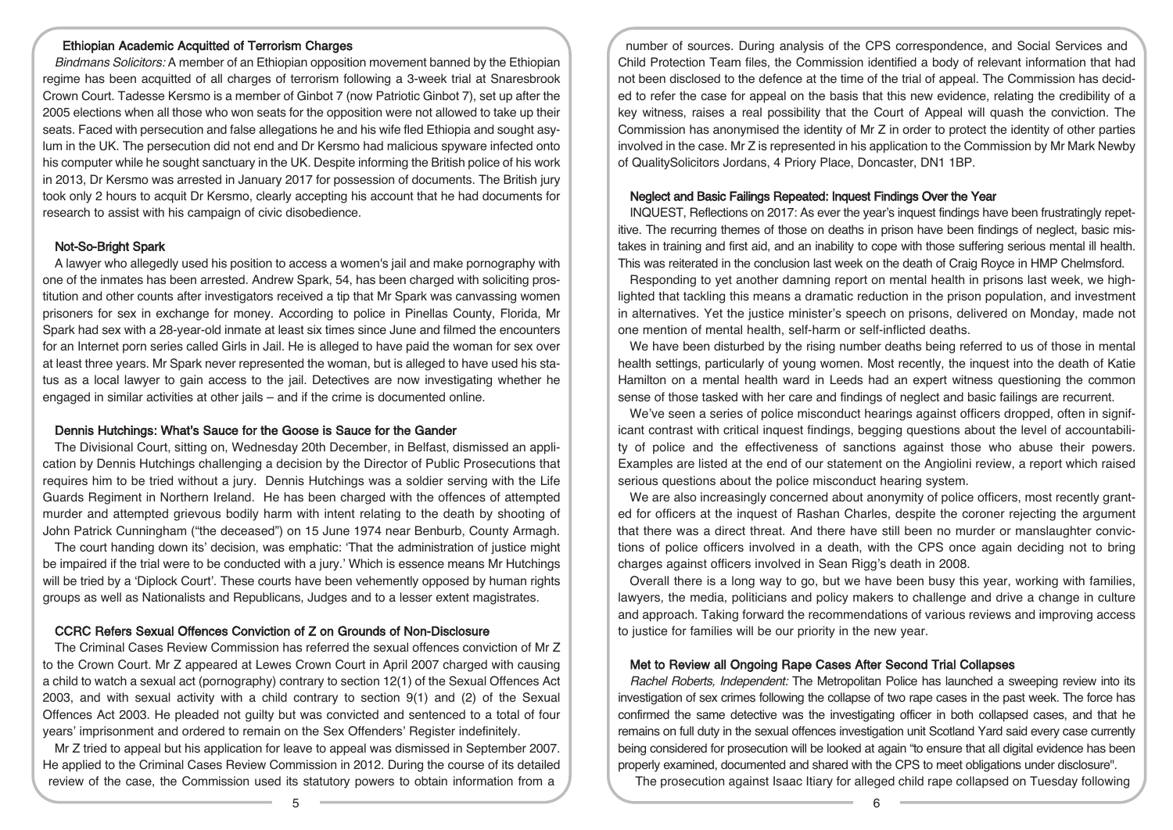# Ethiopian Academic Acquitted of Terrorism Charges

Bindmans Solicitors: A member of an Ethiopian opposition movement banned by the Ethiopian regime has been acquitted of all charges of terrorism following a 3-week trial at Snaresbrook Crown Court. Tadesse Kersmo is a member of Ginbot 7 (now Patriotic Ginbot 7), set up after the 2005 elections when all those who won seats for the opposition were not allowed to take up their seats. Faced with persecution and false allegations he and his wife fled Ethiopia and sought asylum in the UK. The persecution did not end and Dr Kersmo had malicious spyware infected onto his computer while he sought sanctuary in the UK. Despite informing the British police of his work in 2013, Dr Kersmo was arrested in January 2017 for possession of documents. The British jury took only 2 hours to acquit Dr Kersmo, clearly accepting his account that he had documents for research to assist with his campaign of civic disobedience.

# Not-So-Bright Spark

A lawyer who allegedly used his position to access a women's jail and make pornography with one of the inmates has been arrested. Andrew Spark, 54, has been charged with soliciting prostitution and other counts after investigators received a tip that Mr Spark was canvassing women prisoners for sex in exchange for money. According to police in Pinellas County, Florida, Mr Spark had sex with a 28-year-old inmate at least six times since June and filmed the encounters for an Internet porn series called Girls in Jail. He is alleged to have paid the woman for sex over at least three years. Mr Spark never represented the woman, but is alleged to have used his status as a local lawyer to gain access to the jail. Detectives are now investigating whether he engaged in similar activities at other jails – and if the crime is documented online.

# Dennis Hutchings: What's Sauce for the Goose is Sauce for the Gander

The Divisional Court, sitting on, Wednesday 20th December, in Belfast, dismissed an application by Dennis Hutchings challenging a decision by the Director of Public Prosecutions that requires him to be tried without a jury. Dennis Hutchings was a soldier serving with the Life Guards Regiment in Northern Ireland. He has been charged with the offences of attempted murder and attempted grievous bodily harm with intent relating to the death by shooting of John Patrick Cunningham ("the deceased") on 15 June 1974 near Benburb, County Armagh.

The court handing down its' decision, was emphatic: 'That the administration of justice might be impaired if the trial were to be conducted with a jury.' Which is essence means Mr Hutchings will be tried by a 'Diplock Court'. These courts have been vehemently opposed by human rights groups as well as Nationalists and Republicans, Judges and to a lesser extent magistrates.

## CCRC Refers Sexual Offences Conviction of Z on Grounds of Non-Disclosure

The Criminal Cases Review Commission has referred the sexual offences conviction of Mr Z to the Crown Court. Mr Z appeared at Lewes Crown Court in April 2007 charged with causing a child to watch a sexual act (pornography) contrary to section 12(1) of the Sexual Offences Act 2003, and with sexual activity with a child contrary to section 9(1) and (2) of the Sexual Offences Act 2003. He pleaded not guilty but was convicted and sentenced to a total of four years' imprisonment and ordered to remain on the Sex Offenders' Register indefinitely.

Mr Z tried to appeal but his application for leave to appeal was dismissed in September 2007. He applied to the Criminal Cases Review Commission in 2012. During the course of its detailed review of the case, the Commission used its statutory powers to obtain information from a

number of sources. During analysis of the CPS correspondence, and Social Services and Child Protection Team files, the Commission identified a body of relevant information that had not been disclosed to the defence at the time of the trial of appeal. The Commission has decided to refer the case for appeal on the basis that this new evidence, relating the credibility of a key witness, raises a real possibility that the Court of Appeal will quash the conviction. The Commission has anonymised the identity of Mr Z in order to protect the identity of other parties involved in the case. Mr Z is represented in his application to the Commission by Mr Mark Newby of QualitySolicitors Jordans, 4 Priory Place, Doncaster, DN1 1BP.

## Neglect and Basic Failings Repeated: Inquest Findings Over the Year

INQUEST, Reflections on 2017: As ever the year's inquest findings have been frustratingly repetitive. The recurring themes of those on deaths in prison have been findings of neglect, basic mistakes in training and first aid, and an inability to cope with those suffering serious mental ill health. This was reiterated in the conclusion last week on the death of Craig Royce in HMP Chelmsford.

Responding to yet another damning report on mental health in prisons last week, we highlighted that tackling this means a dramatic reduction in the prison population, and investment in alternatives. Yet the justice minister's speech on prisons, delivered on Monday, made not one mention of mental health, self-harm or self-inflicted deaths.

We have been disturbed by the rising number deaths being referred to us of those in mental health settings, particularly of young women. Most recently, the inquest into the death of Katie Hamilton on a mental health ward in Leeds had an expert witness questioning the common sense of those tasked with her care and findings of neglect and basic failings are recurrent.

We've seen a series of police misconduct hearings against officers dropped, often in significant contrast with critical inquest findings, begging questions about the level of accountability of police and the effectiveness of sanctions against those who abuse their powers. Examples are listed at the end of our statement on the Angiolini review, a report which raised serious questions about the police misconduct hearing system.

We are also increasingly concerned about anonymity of police officers, most recently granted for officers at the inquest of Rashan Charles, despite the coroner rejecting the argument that there was a direct threat. And there have still been no murder or manslaughter convictions of police officers involved in a death, with the CPS once again deciding not to bring charges against officers involved in Sean Rigg's death in 2008.

Overall there is a long way to go, but we have been busy this year, working with families, lawyers, the media, politicians and policy makers to challenge and drive a change in culture and approach. Taking forward the recommendations of various reviews and improving access to justice for families will be our priority in the new year.

#### Met to Review all Ongoing Rape Cases After Second Trial Collapses

Rachel Roberts, Independent: The Metropolitan Police has launched a sweeping review into its investigation of sex crimes following the collapse of two rape cases in the past week. The force has confirmed the same detective was the investigating officer in both collapsed cases, and that he remains on full duty in the sexual offences investigation unit Scotland Yard said every case currently being considered for prosecution will be looked at again "to ensure that all digital evidence has been properly examined, documented and shared with the CPS to meet obligations under disclosure".

The prosecution against Isaac Itiary for alleged child rape collapsed on Tuesday following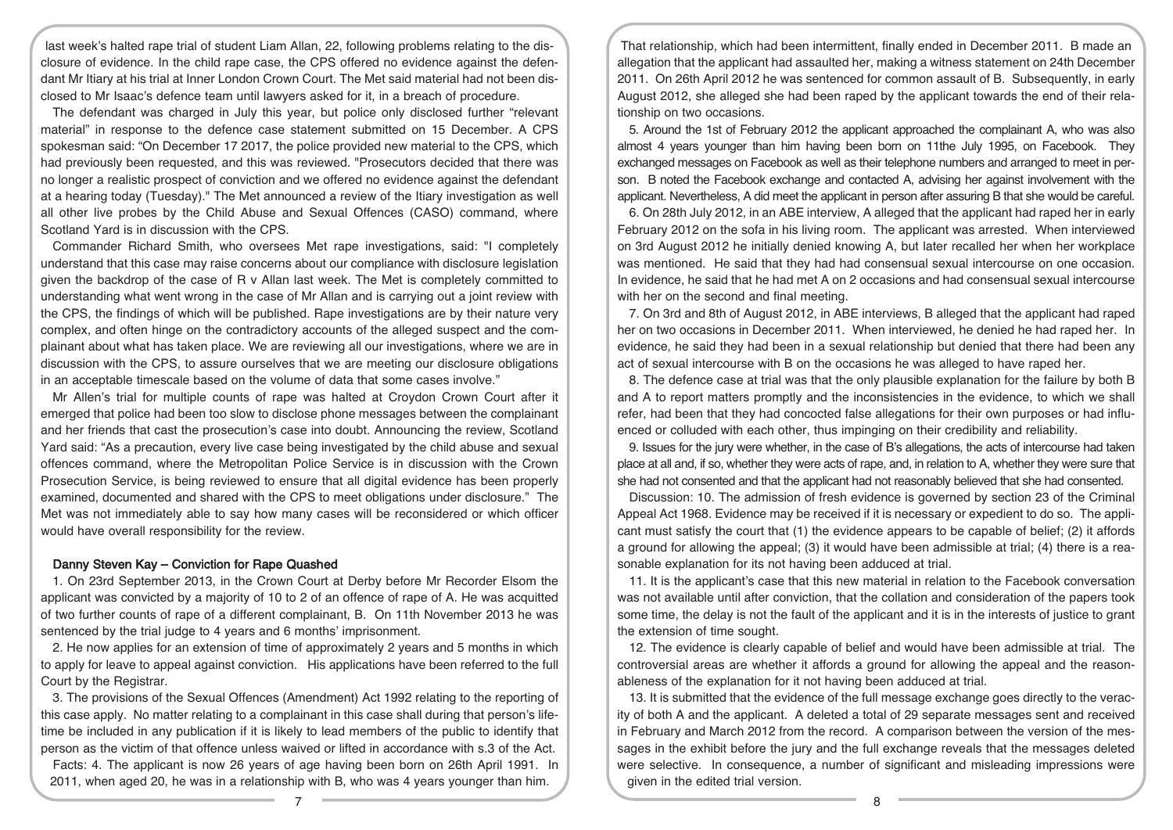last week's halted rape trial of student Liam Allan, 22, following problems relating to the disclosure of evidence. In the child rape case, the CPS offered no evidence against the defendant Mr Itiary at his trial at Inner London Crown Court. The Met said material had not been disclosed to Mr Isaac's defence team until lawyers asked for it, in a breach of procedure.

The defendant was charged in July this year, but police only disclosed further "relevant material" in response to the defence case statement submitted on 15 December. A CPS spokesman said: "On December 17 2017, the police provided new material to the CPS, which had previously been requested, and this was reviewed. "Prosecutors decided that there was no longer a realistic prospect of conviction and we offered no evidence against the defendant at a hearing today (Tuesday)." The Met announced a review of the Itiary investigation as well all other live probes by the Child Abuse and Sexual Offences (CASO) command, where Scotland Yard is in discussion with the CPS.

Commander Richard Smith, who oversees Met rape investigations, said: "I completely understand that this case may raise concerns about our compliance with disclosure legislation given the backdrop of the case of R v Allan last week. The Met is completely committed to understanding what went wrong in the case of Mr Allan and is carrying out a joint review with the CPS, the findings of which will be published. Rape investigations are by their nature very complex, and often hinge on the contradictory accounts of the alleged suspect and the complainant about what has taken place. We are reviewing all our investigations, where we are in discussion with the CPS, to assure ourselves that we are meeting our disclosure obligations in an acceptable timescale based on the volume of data that some cases involve."

Mr Allen's trial for multiple counts of rape was halted at Croydon Crown Court after it emerged that police had been too slow to disclose phone messages between the complainant and her friends that cast the prosecution's case into doubt. Announcing the review, Scotland Yard said: "As a precaution, every live case being investigated by the child abuse and sexual offences command, where the Metropolitan Police Service is in discussion with the Crown Prosecution Service, is being reviewed to ensure that all digital evidence has been properly examined, documented and shared with the CPS to meet obligations under disclosure." The Met was not immediately able to say how many cases will be reconsidered or which officer would have overall responsibility for the review.

#### Danny Steven Kay – Conviction for Rape Quashed

1. On 23rd September 2013, in the Crown Court at Derby before Mr Recorder Elsom the applicant was convicted by a majority of 10 to 2 of an offence of rape of A. He was acquitted of two further counts of rape of a different complainant, B. On 11th November 2013 he was sentenced by the trial judge to 4 years and 6 months' imprisonment.

2. He now applies for an extension of time of approximately 2 years and 5 months in which to apply for leave to appeal against conviction. His applications have been referred to the full Court by the Registrar.

3. The provisions of the Sexual Offences (Amendment) Act 1992 relating to the reporting of this case apply. No matter relating to a complainant in this case shall during that person's lifetime be included in any publication if it is likely to lead members of the public to identify that person as the victim of that offence unless waived or lifted in accordance with s.3 of the Act. Facts: 4. The applicant is now 26 years of age having been born on 26th April 1991. In 2011, when aged 20, he was in a relationship with B, who was 4 years younger than him.

That relationship, which had been intermittent, finally ended in December 2011. B made an allegation that the applicant had assaulted her, making a witness statement on 24th December 2011. On 26th April 2012 he was sentenced for common assault of B. Subsequently, in early August 2012, she alleged she had been raped by the applicant towards the end of their relationship on two occasions.

5. Around the 1st of February 2012 the applicant approached the complainant A, who was also almost 4 years younger than him having been born on 11the July 1995, on Facebook. They exchanged messages on Facebook as well as their telephone numbers and arranged to meet in person. B noted the Facebook exchange and contacted A, advising her against involvement with the applicant. Nevertheless, A did meet the applicant in person after assuring B that she would be careful.

6. On 28th July 2012, in an ABE interview, A alleged that the applicant had raped her in early February 2012 on the sofa in his living room. The applicant was arrested. When interviewed on 3rd August 2012 he initially denied knowing A, but later recalled her when her workplace was mentioned. He said that they had had consensual sexual intercourse on one occasion. In evidence, he said that he had met A on 2 occasions and had consensual sexual intercourse with her on the second and final meeting.

7. On 3rd and 8th of August 2012, in ABE interviews, B alleged that the applicant had raped her on two occasions in December 2011. When interviewed, he denied he had raped her. In evidence, he said they had been in a sexual relationship but denied that there had been any act of sexual intercourse with B on the occasions he was alleged to have raped her.

8. The defence case at trial was that the only plausible explanation for the failure by both B and A to report matters promptly and the inconsistencies in the evidence, to which we shall refer, had been that they had concocted false allegations for their own purposes or had influenced or colluded with each other, thus impinging on their credibility and reliability.

9. Issues for the jury were whether, in the case of B's allegations, the acts of intercourse had taken place at all and, if so, whether they were acts of rape, and, in relation to A, whether they were sure that she had not consented and that the applicant had not reasonably believed that she had consented.

Discussion: 10. The admission of fresh evidence is governed by section 23 of the Criminal Appeal Act 1968. Evidence may be received if it is necessary or expedient to do so. The applicant must satisfy the court that (1) the evidence appears to be capable of belief; (2) it affords a ground for allowing the appeal; (3) it would have been admissible at trial; (4) there is a reasonable explanation for its not having been adduced at trial.

11. It is the applicant's case that this new material in relation to the Facebook conversation was not available until after conviction, that the collation and consideration of the papers took some time, the delay is not the fault of the applicant and it is in the interests of justice to grant the extension of time sought.

12. The evidence is clearly capable of belief and would have been admissible at trial. The controversial areas are whether it affords a ground for allowing the appeal and the reasonableness of the explanation for it not having been adduced at trial.

13. It is submitted that the evidence of the full message exchange goes directly to the veracity of both A and the applicant. A deleted a total of 29 separate messages sent and received in February and March 2012 from the record. A comparison between the version of the messages in the exhibit before the jury and the full exchange reveals that the messages deleted were selective. In consequence, a number of significant and misleading impressions were given in the edited trial version.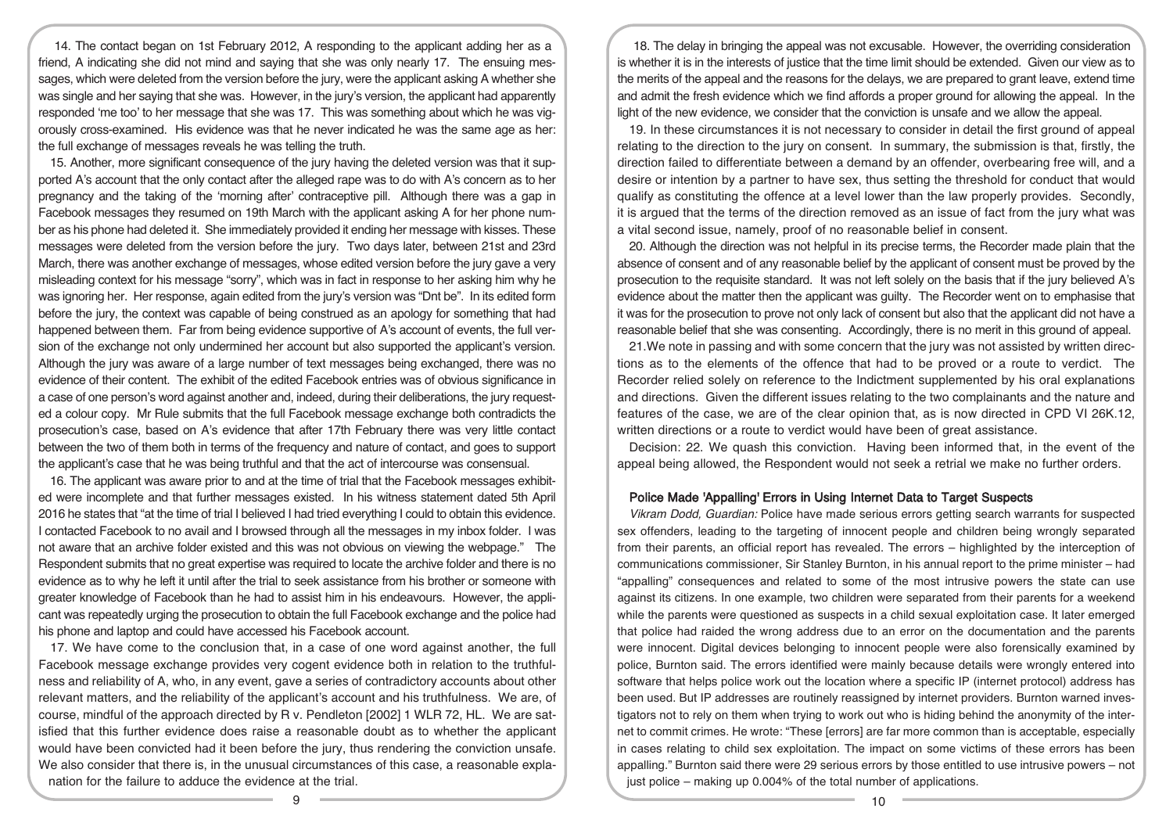14. The contact began on 1st February 2012, A responding to the applicant adding her as a friend, A indicating she did not mind and saying that she was only nearly 17. The ensuing messages, which were deleted from the version before the jury, were the applicant asking A whether she was single and her saying that she was. However, in the jury's version, the applicant had apparently responded 'me too' to her message that she was 17. This was something about which he was vigorously cross-examined. His evidence was that he never indicated he was the same age as her: the full exchange of messages reveals he was telling the truth.

15. Another, more significant consequence of the jury having the deleted version was that it supported A's account that the only contact after the alleged rape was to do with A's concern as to her pregnancy and the taking of the 'morning after' contraceptive pill. Although there was a gap in Facebook messages they resumed on 19th March with the applicant asking A for her phone number as his phone had deleted it. She immediately provided it ending her message with kisses. These messages were deleted from the version before the jury. Two days later, between 21st and 23rd March, there was another exchange of messages, whose edited version before the jury gave a very misleading context for his message "sorry", which was in fact in response to her asking him why he was ignoring her. Her response, again edited from the jury's version was "Dnt be". In its edited form before the jury, the context was capable of being construed as an apology for something that had happened between them. Far from being evidence supportive of A's account of events, the full version of the exchange not only undermined her account but also supported the applicant's version. Although the jury was aware of a large number of text messages being exchanged, there was no evidence of their content. The exhibit of the edited Facebook entries was of obvious significance in a case of one person's word against another and, indeed, during their deliberations, the jury requested a colour copy. Mr Rule submits that the full Facebook message exchange both contradicts the prosecution's case, based on A's evidence that after 17th February there was very little contact between the two of them both in terms of the frequency and nature of contact, and goes to support the applicant's case that he was being truthful and that the act of intercourse was consensual.

16. The applicant was aware prior to and at the time of trial that the Facebook messages exhibited were incomplete and that further messages existed. In his witness statement dated 5th April 2016 he states that "at the time of trial I believed I had tried everything I could to obtain this evidence. I contacted Facebook to no avail and I browsed through all the messages in my inbox folder. I was not aware that an archive folder existed and this was not obvious on viewing the webpage." The Respondent submits that no great expertise was required to locate the archive folder and there is no evidence as to why he left it until after the trial to seek assistance from his brother or someone with greater knowledge of Facebook than he had to assist him in his endeavours. However, the applicant was repeatedly urging the prosecution to obtain the full Facebook exchange and the police had his phone and laptop and could have accessed his Facebook account.

17. We have come to the conclusion that, in a case of one word against another, the full Facebook message exchange provides very cogent evidence both in relation to the truthfulness and reliability of A, who, in any event, gave a series of contradictory accounts about other relevant matters, and the reliability of the applicant's account and his truthfulness. We are, of course, mindful of the approach directed by R v. Pendleton [2002] 1 WLR 72, HL. We are satisfied that this further evidence does raise a reasonable doubt as to whether the applicant would have been convicted had it been before the jury, thus rendering the conviction unsafe. We also consider that there is, in the unusual circumstances of this case, a reasonable explanation for the failure to adduce the evidence at the trial.

18. The delay in bringing the appeal was not excusable. However, the overriding consideration is whether it is in the interests of justice that the time limit should be extended. Given our view as to the merits of the appeal and the reasons for the delays, we are prepared to grant leave, extend time and admit the fresh evidence which we find affords a proper ground for allowing the appeal. In the light of the new evidence, we consider that the conviction is unsafe and we allow the appeal.

19. In these circumstances it is not necessary to consider in detail the first ground of appeal relating to the direction to the jury on consent. In summary, the submission is that, firstly, the direction failed to differentiate between a demand by an offender, overbearing free will, and a desire or intention by a partner to have sex, thus setting the threshold for conduct that would qualify as constituting the offence at a level lower than the law properly provides. Secondly, it is argued that the terms of the direction removed as an issue of fact from the jury what was a vital second issue, namely, proof of no reasonable belief in consent.

20. Although the direction was not helpful in its precise terms, the Recorder made plain that the absence of consent and of any reasonable belief by the applicant of consent must be proved by the prosecution to the requisite standard. It was not left solely on the basis that if the jury believed A's evidence about the matter then the applicant was guilty. The Recorder went on to emphasise that it was for the prosecution to prove not only lack of consent but also that the applicant did not have a reasonable belief that she was consenting. Accordingly, there is no merit in this ground of appeal.

21.We note in passing and with some concern that the jury was not assisted by written directions as to the elements of the offence that had to be proved or a route to verdict. The Recorder relied solely on reference to the Indictment supplemented by his oral explanations and directions. Given the different issues relating to the two complainants and the nature and features of the case, we are of the clear opinion that, as is now directed in CPD VI 26K.12, written directions or a route to verdict would have been of great assistance.

Decision: 22. We quash this conviction. Having been informed that, in the event of the appeal being allowed, the Respondent would not seek a retrial we make no further orders.

#### Police Made 'Appalling' Errors in Using Internet Data to Target Suspects

Vikram Dodd, Guardian: Police have made serious errors getting search warrants for suspected sex offenders, leading to the targeting of innocent people and children being wrongly separated from their parents, an official report has revealed. The errors – highlighted by the interception of communications commissioner, Sir Stanley Burnton, in his annual report to the prime minister – had "appalling" consequences and related to some of the most intrusive powers the state can use against its citizens. In one example, two children were separated from their parents for a weekend while the parents were questioned as suspects in a child sexual exploitation case. It later emerged that police had raided the wrong address due to an error on the documentation and the parents were innocent. Digital devices belonging to innocent people were also forensically examined by police, Burnton said. The errors identified were mainly because details were wrongly entered into software that helps police work out the location where a specific IP (internet protocol) address has been used. But IP addresses are routinely reassigned by internet providers. Burnton warned investigators not to rely on them when trying to work out who is hiding behind the anonymity of the internet to commit crimes. He wrote: "These [errors] are far more common than is acceptable, especially in cases relating to child sex exploitation. The impact on some victims of these errors has been appalling." Burnton said there were 29 serious errors by those entitled to use intrusive powers – not just police – making up  $0.004\%$  of the total number of applications.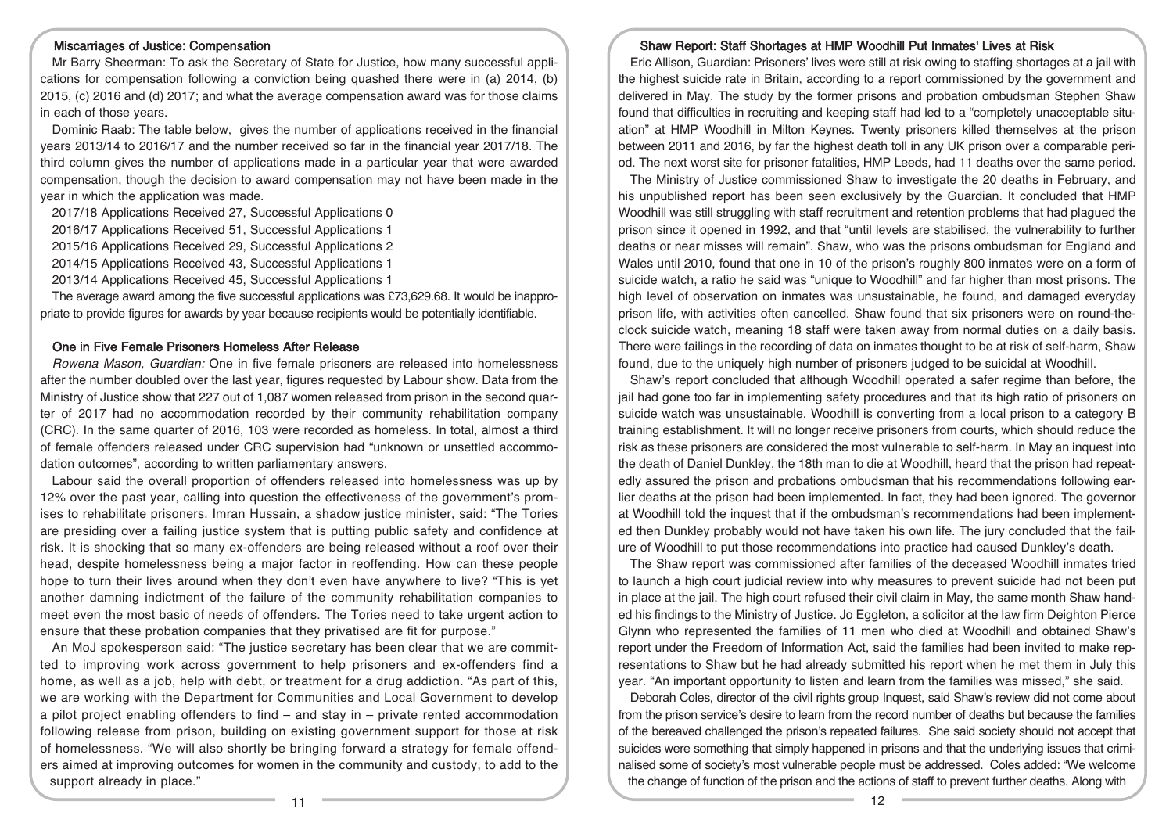# Miscarriages of Justice: Compensation

Mr Barry Sheerman: To ask the Secretary of State for Justice, how many successful applications for compensation following a conviction being quashed there were in (a) 2014, (b) 2015, (c) 2016 and (d) 2017; and what the average compensation award was for those claims in each of those years.

Dominic Raab: The table below, gives the number of applications received in the financial years 2013/14 to 2016/17 and the number received so far in the financial year 2017/18. The third column gives the number of applications made in a particular year that were awarded compensation, though the decision to award compensation may not have been made in the year in which the application was made.

2017/18 Applications Received 27, Successful Applications 0

2016/17 Applications Received 51, Successful Applications 1

2015/16 Applications Received 29, Successful Applications 2

2014/15 Applications Received 43, Successful Applications 1

2013/14 Applications Received 45, Successful Applications 1

The average award among the five successful applications was £73,629.68. It would be inappropriate to provide figures for awards by year because recipients would be potentially identifiable.

#### One in Five Female Prisoners Homeless After Release

Rowena Mason, Guardian: One in five female prisoners are released into homelessness after the number doubled over the last year, figures requested by Labour show. Data from the Ministry of Justice show that 227 out of 1,087 women released from prison in the second quarter of 2017 had no accommodation recorded by their community rehabilitation company (CRC). In the same quarter of 2016, 103 were recorded as homeless. In total, almost a third of female offenders released under CRC supervision had "unknown or unsettled accommodation outcomes", according to written parliamentary answers.

Labour said the overall proportion of offenders released into homelessness was up by 12% over the past year, calling into question the effectiveness of the government's promises to rehabilitate prisoners. Imran Hussain, a shadow justice minister, said: "The Tories are presiding over a failing justice system that is putting public safety and confidence at risk. It is shocking that so many ex-offenders are being released without a roof over their head, despite homelessness being a major factor in reoffending. How can these people hope to turn their lives around when they don't even have anywhere to live? "This is yet another damning indictment of the failure of the community rehabilitation companies to meet even the most basic of needs of offenders. The Tories need to take urgent action to ensure that these probation companies that they privatised are fit for purpose."

An MoJ spokesperson said: "The justice secretary has been clear that we are committed to improving work across government to help prisoners and ex-offenders find a home, as well as a job, help with debt, or treatment for a drug addiction. "As part of this, we are working with the Department for Communities and Local Government to develop a pilot project enabling offenders to find – and stay in – private rented accommodation following release from prison, building on existing government support for those at risk of homelessness. "We will also shortly be bringing forward a strategy for female offenders aimed at improving outcomes for women in the community and custody, to add to the support already in place."

#### Shaw Report: Staff Shortages at HMP Woodhill Put Inmates' Lives at Risk

Eric Allison, Guardian: Prisoners' lives were still at risk owing to staffing shortages at a jail with the highest suicide rate in Britain, according to a report commissioned by the government and delivered in May. The study by the former prisons and probation ombudsman Stephen Shaw found that difficulties in recruiting and keeping staff had led to a "completely unacceptable situation" at HMP Woodhill in Milton Keynes. Twenty prisoners killed themselves at the prison between 2011 and 2016, by far the highest death toll in any UK prison over a comparable period. The next worst site for prisoner fatalities, HMP Leeds, had 11 deaths over the same period.

The Ministry of Justice commissioned Shaw to investigate the 20 deaths in February, and his unpublished report has been seen exclusively by the Guardian. It concluded that HMP Woodhill was still struggling with staff recruitment and retention problems that had plagued the prison since it opened in 1992, and that "until levels are stabilised, the vulnerability to further deaths or near misses will remain". Shaw, who was the prisons ombudsman for England and Wales until 2010, found that one in 10 of the prison's roughly 800 inmates were on a form of suicide watch, a ratio he said was "unique to Woodhill" and far higher than most prisons. The high level of observation on inmates was unsustainable, he found, and damaged everyday prison life, with activities often cancelled. Shaw found that six prisoners were on round-theclock suicide watch, meaning 18 staff were taken away from normal duties on a daily basis. There were failings in the recording of data on inmates thought to be at risk of self-harm, Shaw found, due to the uniquely high number of prisoners judged to be suicidal at Woodhill.

Shaw's report concluded that although Woodhill operated a safer regime than before, the jail had gone too far in implementing safety procedures and that its high ratio of prisoners on suicide watch was unsustainable. Woodhill is converting from a local prison to a category B training establishment. It will no longer receive prisoners from courts, which should reduce the risk as these prisoners are considered the most vulnerable to self-harm. In May an inquest into the death of Daniel Dunkley, the 18th man to die at Woodhill, heard that the prison had repeatedly assured the prison and probations ombudsman that his recommendations following earlier deaths at the prison had been implemented. In fact, they had been ignored. The governor at Woodhill told the inquest that if the ombudsman's recommendations had been implemented then Dunkley probably would not have taken his own life. The jury concluded that the failure of Woodhill to put those recommendations into practice had caused Dunkley's death.

The Shaw report was commissioned after families of the deceased Woodhill inmates tried to launch a high court judicial review into why measures to prevent suicide had not been put in place at the jail. The high court refused their civil claim in May, the same month Shaw handed his findings to the Ministry of Justice. Jo Eggleton, a solicitor at the law firm Deighton Pierce Glynn who represented the families of 11 men who died at Woodhill and obtained Shaw's report under the Freedom of Information Act, said the families had been invited to make representations to Shaw but he had already submitted his report when he met them in July this year. "An important opportunity to listen and learn from the families was missed," she said.

Deborah Coles, director of the civil rights group Inquest, said Shaw's review did not come about from the prison service's desire to learn from the record number of deaths but because the families of the bereaved challenged the prison's repeated failures. She said society should not accept that suicides were something that simply happened in prisons and that the underlying issues that criminalised some of society's most vulnerable people must be addressed. Coles added: "We welcome the change of function of the prison and the actions of staff to prevent further deaths. Along with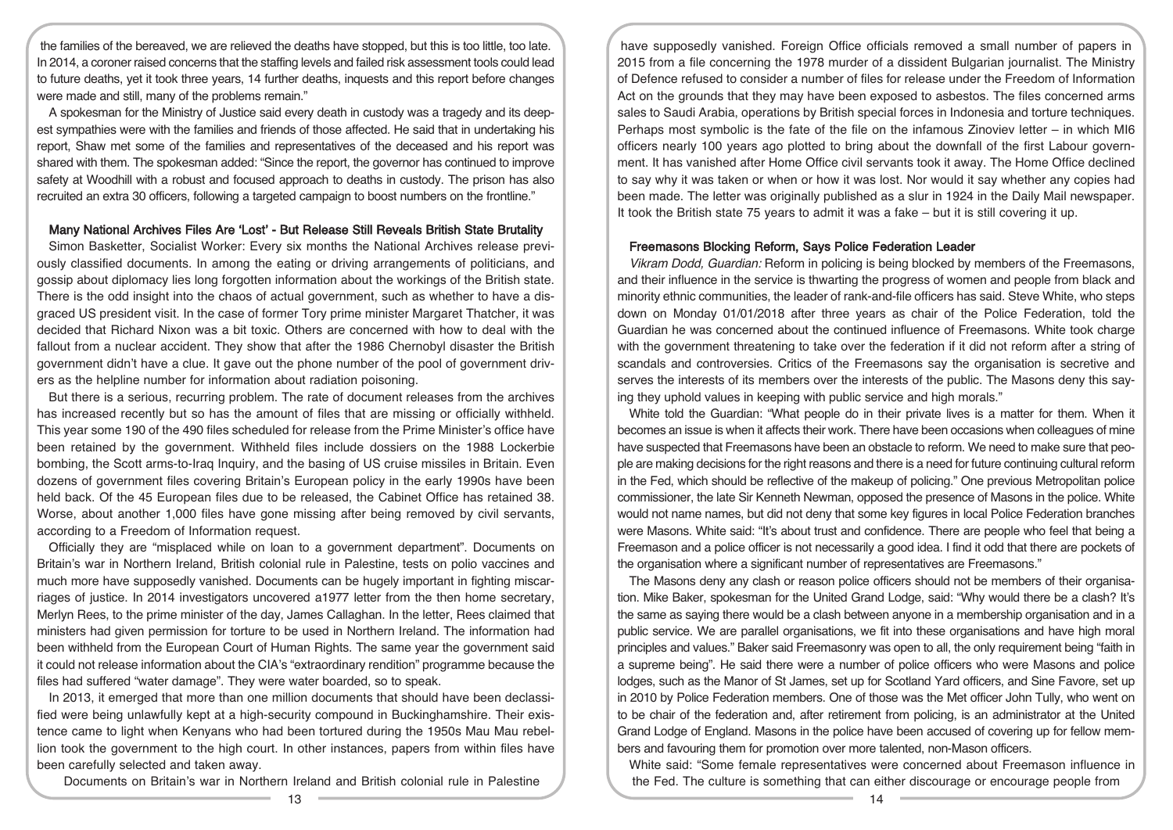the families of the bereaved, we are relieved the deaths have stopped, but this is too little, too late. In 2014, a coroner raised concerns that the staffing levels and failed risk assessment tools could lead to future deaths, yet it took three years, 14 further deaths, inquests and this report before changes were made and still, many of the problems remain."

A spokesman for the Ministry of Justice said every death in custody was a tragedy and its deepest sympathies were with the families and friends of those affected. He said that in undertaking his report, Shaw met some of the families and representatives of the deceased and his report was shared with them. The spokesman added: "Since the report, the governor has continued to improve safety at Woodhill with a robust and focused approach to deaths in custody. The prison has also recruited an extra 30 officers, following a targeted campaign to boost numbers on the frontline."

#### Many National Archives Files Are 'Lost' - But Release Still Reveals British State Brutality

Simon Basketter, Socialist Worker: Every six months the National Archives release previously classified documents. In among the eating or driving arrangements of politicians, and gossip about diplomacy lies long forgotten information about the workings of the British state. There is the odd insight into the chaos of actual government, such as whether to have a disgraced US president visit. In the case of former Tory prime minister Margaret Thatcher, it was decided that Richard Nixon was a bit toxic. Others are concerned with how to deal with the fallout from a nuclear accident. They show that after the 1986 Chernobyl disaster the British government didn't have a clue. It gave out the phone number of the pool of government drivers as the helpline number for information about radiation poisoning.

But there is a serious, recurring problem. The rate of document releases from the archives has increased recently but so has the amount of files that are missing or officially withheld. This year some 190 of the 490 files scheduled for release from the Prime Minister's office have been retained by the government. Withheld files include dossiers on the 1988 Lockerbie bombing, the Scott arms-to-Iraq Inquiry, and the basing of US cruise missiles in Britain. Even dozens of government files covering Britain's European policy in the early 1990s have been held back. Of the 45 European files due to be released, the Cabinet Office has retained 38. Worse, about another 1,000 files have gone missing after being removed by civil servants, according to a Freedom of Information request.

Officially they are "misplaced while on loan to a government department". Documents on Britain's war in Northern Ireland, British colonial rule in Palestine, tests on polio vaccines and much more have supposedly vanished. Documents can be hugely important in fighting miscarriages of justice. In 2014 investigators uncovered a1977 letter from the then home secretary, Merlyn Rees, to the prime minister of the day, James Callaghan. In the letter, Rees claimed that ministers had given permission for torture to be used in Northern Ireland. The information had been withheld from the European Court of Human Rights. The same year the government said it could not release information about the CIA's "extraordinary rendition" programme because the files had suffered "water damage". They were water boarded, so to speak.

In 2013, it emerged that more than one million documents that should have been declassified were being unlawfully kept at a high-security compound in Buckinghamshire. Their existence came to light when Kenyans who had been tortured during the 1950s Mau Mau rebellion took the government to the high court. In other instances, papers from within files have been carefully selected and taken away.

Documents on Britain's war in Northern Ireland and British colonial rule in Palestine

have supposedly vanished. Foreign Office officials removed a small number of papers in 2015 from a file concerning the 1978 murder of a dissident Bulgarian journalist. The Ministry of Defence refused to consider a number of files for release under the Freedom of Information Act on the grounds that they may have been exposed to asbestos. The files concerned arms sales to Saudi Arabia, operations by British special forces in Indonesia and torture techniques. Perhaps most symbolic is the fate of the file on the infamous Zinoviev letter – in which MI6 officers nearly 100 years ago plotted to bring about the downfall of the first Labour government. It has vanished after Home Office civil servants took it away. The Home Office declined to say why it was taken or when or how it was lost. Nor would it say whether any copies had been made. The letter was originally published as a slur in 1924 in the Daily Mail newspaper. It took the British state 75 years to admit it was a fake – but it is still covering it up.

# Freemasons Blocking Reform, Says Police Federation Leader

Vikram Dodd, Guardian: Reform in policing is being blocked by members of the Freemasons, and their influence in the service is thwarting the progress of women and people from black and minority ethnic communities, the leader of rank-and-file officers has said. Steve White, who steps down on Monday 01/01/2018 after three years as chair of the Police Federation, told the Guardian he was concerned about the continued influence of Freemasons. White took charge with the government threatening to take over the federation if it did not reform after a string of scandals and controversies. Critics of the Freemasons say the organisation is secretive and serves the interests of its members over the interests of the public. The Masons deny this saying they uphold values in keeping with public service and high morals."

White told the Guardian: "What people do in their private lives is a matter for them. When it becomes an issue is when it affects their work. There have been occasions when colleagues of mine have suspected that Freemasons have been an obstacle to reform. We need to make sure that people are making decisions for the right reasons and there is a need for future continuing cultural reform in the Fed, which should be reflective of the makeup of policing." One previous Metropolitan police commissioner, the late Sir Kenneth Newman, opposed the presence of Masons in the police. White would not name names, but did not deny that some key figures in local Police Federation branches were Masons. White said: "It's about trust and confidence. There are people who feel that being a Freemason and a police officer is not necessarily a good idea. I find it odd that there are pockets of the organisation where a significant number of representatives are Freemasons."

The Masons deny any clash or reason police officers should not be members of their organisation. Mike Baker, spokesman for the United Grand Lodge, said: "Why would there be a clash? It's the same as saying there would be a clash between anyone in a membership organisation and in a public service. We are parallel organisations, we fit into these organisations and have high moral principles and values." Baker said Freemasonry was open to all, the only requirement being "faith in a supreme being". He said there were a number of police officers who were Masons and police lodges, such as the Manor of St James, set up for Scotland Yard officers, and Sine Favore, set up in 2010 by Police Federation members. One of those was the Met officer John Tully, who went on to be chair of the federation and, after retirement from policing, is an administrator at the United Grand Lodge of England. Masons in the police have been accused of covering up for fellow members and favouring them for promotion over more talented, non-Mason officers.

White said: "Some female representatives were concerned about Freemason influence in the Fed. The culture is something that can either discourage or encourage people from